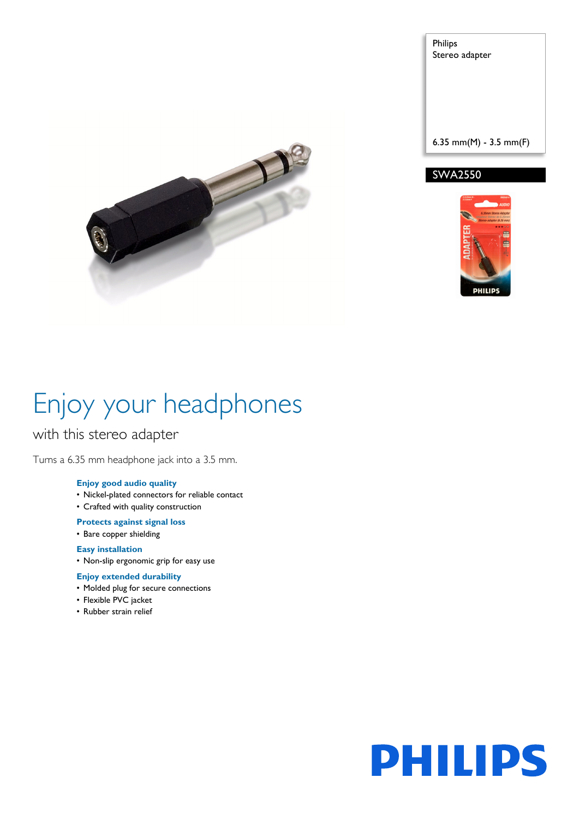P

Philips Stereo adapter

6.35 mm(M) - 3.5 mm(F)

#### SWA2550



# Enjoy your headphones

### with this stereo adapter

Turns a 6.35 mm headphone jack into a 3.5 mm.

#### **Enjoy good audio quality**

- Nickel-plated connectors for reliable contact
- Crafted with quality construction

#### **Protects against signal loss**

• Bare copper shielding

#### **Easy installation**

• Non-slip ergonomic grip for easy use

#### **Enjoy extended durability**

- Molded plug for secure connections
- Flexible PVC jacket
- Rubber strain relief